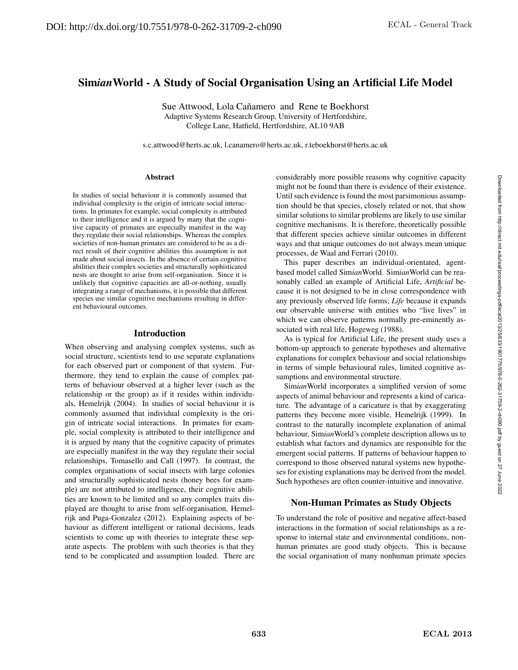# Sim*ian*World - A Study of Social Organisation Using an Artificial Life Model

Sue Attwood, Lola Cañamero and Rene te Boekhorst Adaptive Systems Research Group, University of Hertfordshire, College Lane, Hatfield, Hertfordshire, AL10 9AB

s.c.attwood@herts.ac.uk, l.canamero@herts.ac.uk, r.teboekhorst@herts.ac.uk

#### Abstract

In studies of social behaviour it is commonly assumed that individual complexity is the origin of intricate social interactions. In primates for example, social complexity is attributed to their intelligence and it is argued by many that the cognitive capacity of primates are especially manifest in the way they regulate their social relationships. Whereas the complex societies of non-human primates are considered to be as a direct result of their cognitive abilities this assumption is not made about social insects. In the absence of certain cognitive abilities their complex societies and structurally sophisticated nests are thought to arise from self-organisation. Since it is unlikely that cognitive capacities are all-or-nothing, usually integrating a range of mechanisms, it is possible that different species use similar cognitive mechanisms resulting in different behavioural outcomes.

#### Introduction

When observing and analysing complex systems, such as social structure, scientists tend to use separate explanations for each observed part or component of that system. Furthermore, they tend to explain the cause of complex patterns of behaviour observed at a higher lever (such as the relationship or the group) as if it resides within individuals, Hemelrijk (2004). In studies of social behaviour it is commonly assumed that individual complexity is the origin of intricate social interactions. In primates for example, social complexity is attributed to their intelligence and it is argued by many that the cognitive capacity of primates are especially manifest in the way they regulate their social relationships, Tomasello and Call (1997). In contrast, the complex organisations of social insects with large colonies and structurally sophisticated nests (honey bees for example) are not attributed to intelligence, their cognitive abilities are known to be limited and so any complex traits displayed are thought to arise from self-organisation, Hemelrijk and Puga-Gonzalez (2012). Explaining aspects of behaviour as different intelligent or rational decisions, leads scientists to come up with theories to integrate these separate aspects. The problem with such theories is that they tend to be complicated and assumption loaded. There are considerably more possible reasons why cognitive capacity might not be found than there is evidence of their existence. Until such evidence is found the most parsimonious assumption should be that species, closely related or not, that show similar solutions to similar problems are likely to use similar cognitive mechanisms. It is therefore, theoretically possible that different species achieve similar outcomes in different ways and that unique outcomes do not always mean unique processes, de Waal and Ferrari (2010).

This paper describes an individual-orientated, agentbased model called Sim*ian*World. Sim*ian*World can be reasonably called an example of Artificial Life, *Artificial* because it is not designed to be in close correspondence with any previously observed life forms; *Life* because it expands our observable universe with entities who "live lives" in which we can observe patterns normally pre-eminently associated with real life, Hogeweg (1988).

As is typical for Artificial Life, the present study uses a bottom-up approach to generate hypotheses and alternative explanations for complex behaviour and social relationships in terms of simple behavioural rules, limited cognitive assumptions and environmental structure.

Sim*ian*World incorporates a simplified version of some aspects of animal behaviour and represents a kind of caricature. The advantage of a caricature is that by exaggerating patterns they become more visible, Hemelrijk (1999). In contrast to the naturally incomplete explanation of animal behaviour, Sim*ian*World's complete description allows us to establish what factors and dynamics are responsible for the emergent social patterns. If patterns of behaviour happen to correspond to those observed natural systems new hypotheses for existing explanations may be derived from the model. Such hypotheses are often counter-intuitive and innovative.

### Non-Human Primates as Study Objects

To understand the role of positive and negative affect-based interactions in the formation of social relationships as a response to internal state and environmental conditions, nonhuman primates are good study objects. This is because the social organisation of many nonhuman primate species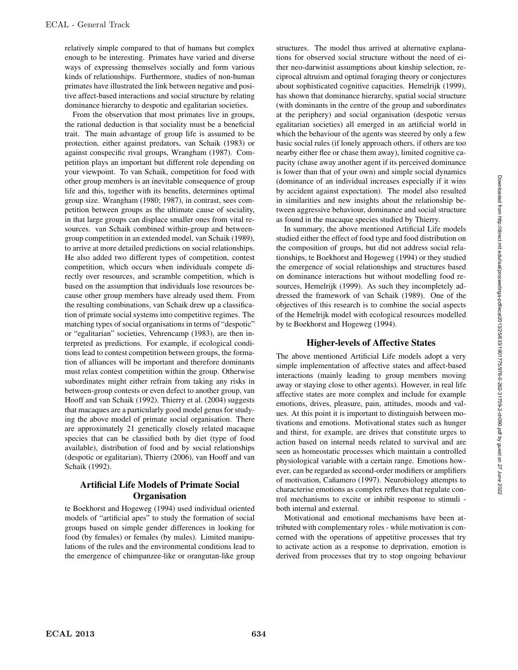relatively simple compared to that of humans but complex enough to be interesting. Primates have varied and diverse ways of expressing themselves socially and form various kinds of relationships. Furthermore, studies of non-human primates have illustrated the link between negative and positive affect-based interactions and social structure by relating dominance hierarchy to despotic and egalitarian societies.

From the observation that most primates live in groups, the rational deduction is that sociality must be a beneficial trait. The main advantage of group life is assumed to be protection, either against predators, van Schaik (1983) or against conspecific rival groups, Wrangham (1987). Competition plays an important but different role depending on your viewpoint. To van Schaik, competition for food with other group members is an inevitable consequence of group life and this, together with its benefits, determines optimal group size. Wrangham (1980; 1987), in contrast, sees competition between groups as the ultimate cause of sociality, in that large groups can displace smaller ones from vital resources. van Schaik combined within-group and betweengroup competition in an extended model, van Schaik (1989), to arrive at more detailed predictions on social relationships. He also added two different types of competition, contest competition, which occurs when individuals compete directly over resources, and scramble competition, which is based on the assumption that individuals lose resources because other group members have already used them. From the resulting combinations, van Schaik drew up a classification of primate social systems into competitive regimes. The matching types of social organisations in terms of "despotic" or "egalitarian" societies, Vehrencamp (1983), are then interpreted as predictions. For example, if ecological conditions lead to contest competition between groups, the formation of alliances will be important and therefore dominants must relax contest competition within the group. Otherwise subordinates might either refrain from taking any risks in between-group contests or even defect to another group, van Hooff and van Schaik (1992). Thierry et al. (2004) suggests that macaques are a particularly good model genus for studying the above model of primate social organisation. There are approximately 21 genetically closely related macaque species that can be classified both by diet (type of food available), distribution of food and by social relationships (despotic or egalitarian), Thierry (2006), van Hooff and van Schaik (1992).

## Artificial Life Models of Primate Social **Organisation**

te Boekhorst and Hogeweg (1994) used individual oriented models of "artificial apes" to study the formation of social groups based on simple gender differences in looking for food (by females) or females (by males). Limited manipulations of the rules and the environmental conditions lead to the emergence of chimpanzee-like or orangutan-like group structures. The model thus arrived at alternative explanations for observed social structure without the need of either neo-darwinist assumptions about kinship selection, reciprocal altruism and optimal foraging theory or conjectures about sophisticated cognitive capacities. Hemelrijk (1999), has shown that dominance hierarchy, spatial social structure (with dominants in the centre of the group and subordinates at the periphery) and social organisation (despotic versus egalitarian societies) all emerged in an artificial world in which the behaviour of the agents was steered by only a few basic social rules (if lonely approach others, if others are too nearby either flee or chase them away), limited cognitive capacity (chase away another agent if its perceived dominance is lower than that of your own) and simple social dynamics (dominance of an individual increases especially if it wins by accident against expectation). The model also resulted in similarities and new insights about the relationship between aggressive behaviour, dominance and social structure as found in the macaque species studied by Thierry.

In summary, the above mentioned Artificial Life models studied either the effect of food type and food distribution on the composition of groups, but did not address social relationships, te Boekhorst and Hogeweg (1994) or they studied the emergence of social relationships and structures based on dominance interactions but without modelling food resources, Hemelrijk (1999). As such they incompletely addressed the framework of van Schaik (1989). One of the objectives of this research is to combine the social aspects of the Hemelrijk model with ecological resources modelled by te Boekhorst and Hogeweg (1994).

### Higher-levels of Affective States

The above mentioned Artificial Life models adopt a very simple implementation of affective states and affect-based interactions (mainly leading to group members moving away or staying close to other agents). However, in real life affective states are more complex and include for example emotions, drives, pleasure, pain, attitudes, moods and values. At this point it is important to distinguish between motivations and emotions. Motivational states such as hunger and thirst, for example, are drives that constitute urges to action based on internal needs related to survival and are seen as homeostatic processes which maintain a controlled physiological variable with a certain range. Emotions however, can be regarded as second-order modifiers or amplifiers of motivation, Cañamero (1997). Neurobiology attempts to characterise emotions as complex reflexes that regulate control mechanisms to excite or inhibit response to stimuli both internal and external.

Motivational and emotional mechanisms have been attributed with complementary roles - while motivation is concerned with the operations of appetitive processes that try to activate action as a response to deprivation, emotion is derived from processes that try to stop ongoing behaviour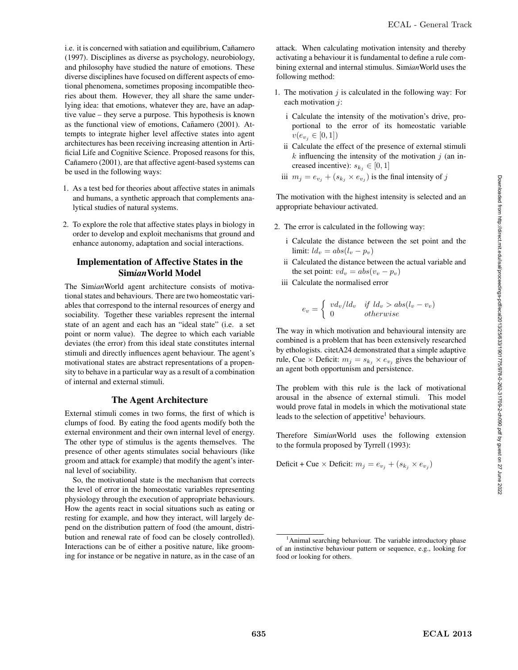i.e. it is concerned with satiation and equilibrium, Cañamero (1997). Disciplines as diverse as psychology, neurobiology, and philosophy have studied the nature of emotions. These diverse disciplines have focused on different aspects of emotional phenomena, sometimes proposing incompatible theories about them. However, they all share the same underlying idea: that emotions, whatever they are, have an adaptive value – they serve a purpose. This hypothesis is known as the functional view of emotions, Cañamero (2001). Attempts to integrate higher level affective states into agent architectures has been receiving increasing attention in Artificial Life and Cognitive Science. Proposed reasons for this, Cañamero (2001), are that affective agent-based systems can be used in the following ways:

- 1. As a test bed for theories about affective states in animals and humans, a synthetic approach that complements analytical studies of natural systems.
- 2. To explore the role that affective states plays in biology in order to develop and exploit mechanisms that ground and enhance autonomy, adaptation and social interactions.

### Implementation of Affective States in the Sim*ian*World Model

The Sim*ian*World agent architecture consists of motivational states and behaviours. There are two homeostatic variables that correspond to the internal resources of energy and sociability. Together these variables represent the internal state of an agent and each has an "ideal state" (i.e. a set point or norm value). The degree to which each variable deviates (the error) from this ideal state constitutes internal stimuli and directly influences agent behaviour. The agent's motivational states are abstract representations of a propensity to behave in a particular way as a result of a combination of internal and external stimuli.

### The Agent Architecture

External stimuli comes in two forms, the first of which is clumps of food. By eating the food agents modify both the external environment and their own internal level of energy. The other type of stimulus is the agents themselves. The presence of other agents stimulates social behaviours (like groom and attack for example) that modify the agent's internal level of sociability.

So, the motivational state is the mechanism that corrects the level of error in the homeostatic variables representing physiology through the execution of appropriate behaviours. How the agents react in social situations such as eating or resting for example, and how they interact, will largely depend on the distribution pattern of food (the amount, distribution and renewal rate of food can be closely controlled). Interactions can be of either a positive nature, like grooming for instance or be negative in nature, as in the case of an attack. When calculating motivation intensity and thereby activating a behaviour it is fundamental to define a rule combining external and internal stimulus. Sim*ian*World uses the following method:

- 1. The motivation  $j$  is calculated in the following way: For each motivation  $i$ :
	- i Calculate the intensity of the motivation's drive, proportional to the error of its homeostatic variable  $v(e_{v_i} \in [0,1])$
	- ii Calculate the effect of the presence of external stimuli  $k$  influencing the intensity of the motivation  $j$  (an increased incentive):  $s_{k_j} \in [0,1]$
	- iii  $m_j = e_{v_j} + (s_{k_j} \times e_{v_j})$  is the final intensity of j

The motivation with the highest intensity is selected and an appropriate behaviour activated.

- 2. The error is calculated in the following way:
	- i Calculate the distance between the set point and the limit:  $ld_v = abs(l_v - p_v)$
	- ii Calculated the distance between the actual variable and the set point:  $vd_v = abs(v_v - p_v)$
	- iii Calculate the normalised error

 $\epsilon$ 

$$
v = \begin{cases} v d_v / l d_v & \text{if } l d_v > abs(l_v - v_v) \\ 0 & otherwise \end{cases}
$$

The way in which motivation and behavioural intensity are combined is a problem that has been extensively researched by ethologists. citetA24 demonstrated that a simple adaptive rule, Cue  $\times$  Deficit:  $m_j = s_{k_j} \times e_{v_j}$  gives the behaviour of an agent both opportunism and persistence.

The problem with this rule is the lack of motivational arousal in the absence of external stimuli. This model would prove fatal in models in which the motivational state leads to the selection of appetitive<sup>1</sup> behaviours.

Therefore Sim*ian*World uses the following extension to the formula proposed by Tyrrell (1993):

Deficit + Cue × Deficit:  $m_j = e_{v_j} + (s_{k_j} \times e_{v_j})$ 

<sup>&</sup>lt;sup>1</sup> Animal searching behaviour. The variable introductory phase of an instinctive behaviour pattern or sequence, e.g., looking for food or looking for others.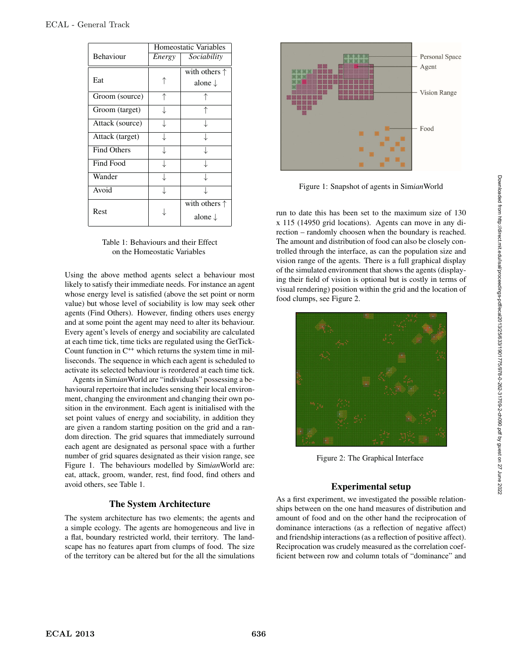|                    | Homeostatic Variables |                        |  |
|--------------------|-----------------------|------------------------|--|
| Behaviour          | Energy                | Sociability            |  |
|                    |                       | with others $\uparrow$ |  |
| Eat                |                       | alone $\downarrow$     |  |
| Groom (source)     | ↑                     |                        |  |
| Groom (target)     |                       |                        |  |
| Attack (source)    |                       |                        |  |
| Attack (target)    |                       |                        |  |
| <b>Find Others</b> |                       |                        |  |
| Find Food          |                       |                        |  |
| Wander             |                       |                        |  |
| Avoid              |                       |                        |  |
| Rest               |                       | with others $\uparrow$ |  |
|                    |                       | alone $\downarrow$     |  |

Table 1: Behaviours and their Effect on the Homeostatic Variables

Using the above method agents select a behaviour most likely to satisfy their immediate needs. For instance an agent whose energy level is satisfied (above the set point or norm value) but whose level of sociability is low may seek other agents (Find Others). However, finding others uses energy and at some point the agent may need to alter its behaviour. Every agent's levels of energy and sociability are calculated at each time tick, time ticks are regulated using the GetTick-Count function in  $C^{++}$  which returns the system time in milliseconds. The sequence in which each agent is scheduled to activate its selected behaviour is reordered at each time tick.

Agents in Sim*ian*World are "individuals" possessing a behavioural repertoire that includes sensing their local environment, changing the environment and changing their own position in the environment. Each agent is initialised with the set point values of energy and sociability, in addition they are given a random starting position on the grid and a random direction. The grid squares that immediately surround each agent are designated as personal space with a further number of grid squares designated as their vision range, see Figure 1. The behaviours modelled by Sim*ian*World are: eat, attack, groom, wander, rest, find food, find others and avoid others, see Table 1.

### The System Architecture

The system architecture has two elements; the agents and a simple ecology. The agents are homogeneous and live in a flat, boundary restricted world, their territory. The landscape has no features apart from clumps of food. The size of the territory can be altered but for the all the simulations



Figure 1: Snapshot of agents in Sim*ian*World

run to date this has been set to the maximum size of 130 x 115 (14950 grid locations). Agents can move in any direction – randomly choosen when the boundary is reached. The amount and distribution of food can also be closely controlled through the interface, as can the population size and vision range of the agents. There is a full graphical display of the simulated environment that shows the agents (displaying their field of vision is optional but is costly in terms of visual rendering) position within the grid and the location of food clumps, see Figure 2.



Figure 2: The Graphical Interface

## Experimental setup

As a first experiment, we investigated the possible relationships between on the one hand measures of distribution and amount of food and on the other hand the reciprocation of dominance interactions (as a reflection of negative affect) and friendship interactions (as a reflection of positive affect). Reciprocation was crudely measured as the correlation coefficient between row and column totals of "dominance" and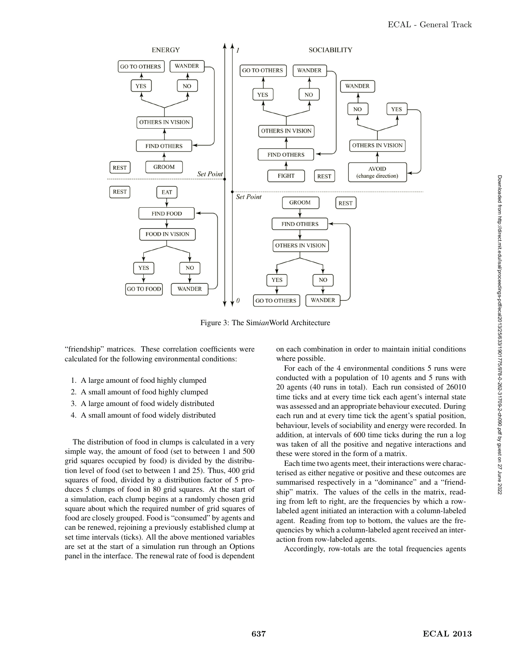

Figure 3: The Sim*ian*World Architecture

"friendship" matrices. These correlation coefficients were calculated for the following environmental conditions:

- 1. A large amount of food highly clumped
- 2. A small amount of food highly clumped
- 3. A large amount of food widely distributed
- 4. A small amount of food widely distributed

The distribution of food in clumps is calculated in a very simple way, the amount of food (set to between 1 and 500 grid squares occupied by food) is divided by the distribution level of food (set to between 1 and 25). Thus, 400 grid squares of food, divided by a distribution factor of 5 produces 5 clumps of food in 80 grid squares. At the start of a simulation, each clump begins at a randomly chosen grid square about which the required number of grid squares of food are closely grouped. Food is "consumed" by agents and can be renewed, rejoining a previously established clump at set time intervals (ticks). All the above mentioned variables are set at the start of a simulation run through an Options panel in the interface. The renewal rate of food is dependent on each combination in order to maintain initial conditions where possible.

For each of the 4 environmental conditions 5 runs were conducted with a population of 10 agents and 5 runs with 20 agents (40 runs in total). Each run consisted of 26010 time ticks and at every time tick each agent's internal state was assessed and an appropriate behaviour executed. During each run and at every time tick the agent's spatial position, behaviour, levels of sociability and energy were recorded. In addition, at intervals of 600 time ticks during the run a log was taken of all the positive and negative interactions and these were stored in the form of a matrix.

Each time two agents meet, their interactions were characterised as either negative or positive and these outcomes are summarised respectively in a "dominance" and a "friendship" matrix. The values of the cells in the matrix, reading from left to right, are the frequencies by which a rowlabeled agent initiated an interaction with a column-labeled agent. Reading from top to bottom, the values are the frequencies by which a column-labeled agent received an interaction from row-labeled agents.

Accordingly, row-totals are the total frequencies agents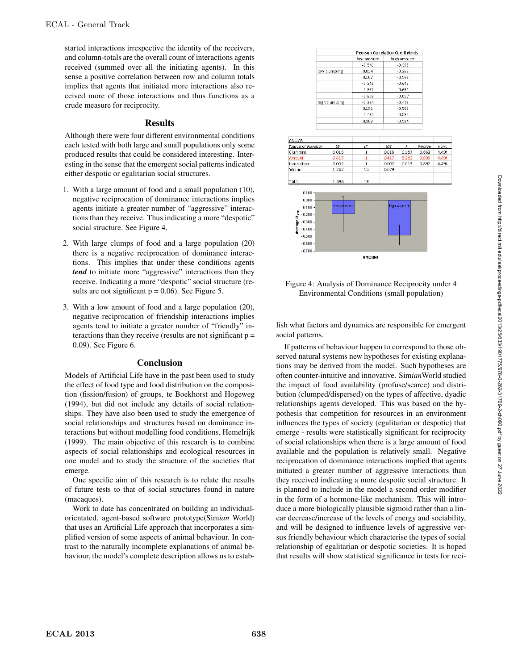started interactions irrespective the identity of the receivers, and column-totals are the overall count of interactions agents received (summed over all the initiating agents). In this sense a positive correlation between row and column totals implies that agents that initiated more interactions also received more of those interactions and thus functions as a crude measure for reciprocity.

### Results

Although there were four different environmental conditions each tested with both large and small populations only some produced results that could be considered interesting. Interesting in the sense that the emergent social patterns indicated either despotic or egalitarian social structures.

- 1. With a large amount of food and a small population (10), negative reciprocation of dominance interactions implies agents initiate a greater number of "aggressive" interactions than they receive. Thus indicating a more "despotic" social structure. See Figure 4.
- 2. With large clumps of food and a large population (20) there is a negative reciprocation of dominance interactions. This implies that under these conditions agents *tend* to initiate more "aggressive" interactions than they receive. Indicating a more "despotic" social structure (results are not significant  $p = 0.06$ ). See Figure 5.
- 3. With a low amount of food and a large population (20), negative reciprocation of friendship interactions implies agents tend to initiate a greater number of "friendly" interactions than they receive (results are not significant  $p =$ 0.09). See Figure 6.

### Conclusion

Models of Artificial Life have in the past been used to study the effect of food type and food distribution on the composition (fission/fusion) of groups, te Boekhorst and Hogeweg (1994), but did not include any details of social relationships. They have also been used to study the emergence of social relationships and structures based on dominance interactions but without modelling food conditions, Hemelrijk (1999). The main objective of this research is to combine aspects of social relationships and ecological resources in one model and to study the structure of the societies that emerge.

One specific aim of this research is to relate the results of future tests to that of social structures found in nature (macaques).

Work to date has concentrated on building an individualorientated, agent-based software prototype(Sim*ian* World) that uses an Artificial Life approach that incorporates a simplified version of some aspects of animal behaviour. In contrast to the naturally incomplete explanations of animal behaviour, the model's complete description allows us to estab-

|                     |               | <b>Pearson Correlation Coefficients</b> |       |             |         |  |
|---------------------|---------------|-----------------------------------------|-------|-------------|---------|--|
|                     |               | low amount                              |       | high amount |         |  |
|                     |               | $-0.546$                                |       | $-0.395$    |         |  |
|                     | low clumping  | 0.014                                   |       | $-0.266$    |         |  |
|                     |               | 0.102                                   |       | $-0.566$    |         |  |
|                     |               | $-0.246$                                |       | $-0.648$    |         |  |
|                     |               | $-0.362$                                |       | $-0.694$    |         |  |
|                     |               | $-0.608$                                |       | $-0.057$    |         |  |
|                     | high clumping | $-0.234$                                |       | $-0.479$    |         |  |
|                     |               | 0.191                                   |       | $-0.503$    |         |  |
|                     |               | $-0.495$                                |       | $-0.580$    |         |  |
|                     |               | 0.303                                   |       | $-0.584$    |         |  |
|                     |               |                                         |       |             |         |  |
| <b>ANOVA</b>        |               |                                         |       |             |         |  |
| Source of Variation | SS            | df                                      | MS    | F           | P-value |  |
| Clumping            | 0.016         | $\mathbf{1}$                            | 0.016 | 0.197       | 0.663   |  |
| Amount              | 0.417         | $\mathbf{1}$                            | 0.417 | 5.292       | 0.035   |  |
| Interaction         | 0.002         | $\mathbf{1}$                            | 0.002 | 0.019       | 0.892   |  |
| Within              | 1.262         | 16                                      | 0.079 |             |         |  |
|                     | 1.696         | 19                                      |       |             |         |  |

Fcrit 4.494

4.494

4.494

Total



Figure 4: Analysis of Dominance Reciprocity under 4 Environmental Conditions (small population)

lish what factors and dynamics are responsible for emergent social patterns.

If patterns of behaviour happen to correspond to those observed natural systems new hypotheses for existing explanations may be derived from the model. Such hypotheses are often counter-intuitive and innovative. Sim*ian*World studied the impact of food availability (profuse/scarce) and distribution (clumped/dispersed) on the types of affective, dyadic relationships agents developed. This was based on the hypothesis that competition for resources in an environment influences the types of society (egalitarian or despotic) that emerge - results were statistically significant for reciprocity of social relationships when there is a large amount of food available and the population is relatively small. Negative reciprocation of dominance interactions implied that agents initiated a greater number of aggressive interactions than they received indicating a more despotic social structure. It is planned to include in the model a second order modifier in the form of a hormone-like mechanism. This will introduce a more biologically plausible sigmoid rather than a linear decrease/increase of the levels of energy and sociability, and will be designed to influence levels of aggressive versus friendly behaviour which characterise the types of social relationship of egalitarian or despotic societies. It is hoped that results will show statistical significance in tests for reci-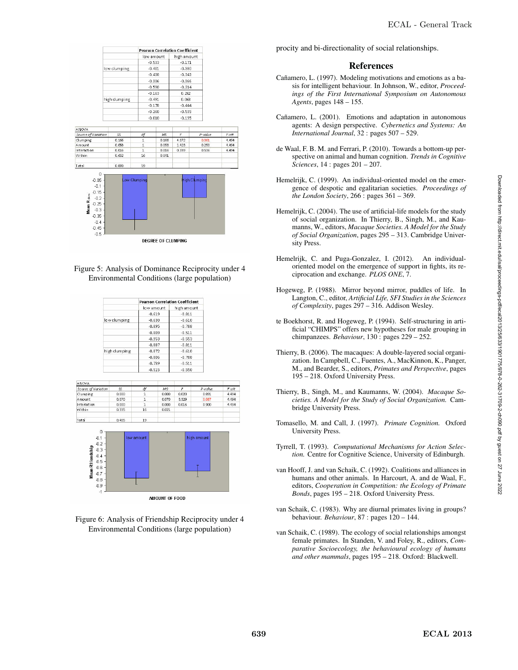

Figure 5: Analysis of Dominance Reciprocity under 4 Environmental Conditions (large population)

|               | <b>Pearson Correlation Coefficient</b> |              |
|---------------|----------------------------------------|--------------|
|               | ow amount                              | hi gh amount |
|               | $-0.619$                               | $-0.811$     |
| low clumping  | $-0.630$                               | $-0.610$     |
|               | $-0.895$                               | $-0.788$     |
|               | $-0.809$                               | $-0.511$     |
|               | $-0.953$                               | $-0.553$     |
|               | $-0.887$                               | $-0.811$     |
| high clumping | $-0.872$                               | $-0.610$     |
|               | $-0.806$                               | $-0.788$     |
|               | $-0.739$                               | $-0.511$     |
|               | O FAF                                  | o rro        |





Figure 6: Analysis of Friendship Reciprocity under 4 Environmental Conditions (large population)

procity and bi-directionality of social relationships.

#### References

- Cañamero, L. (1997). Modeling motivations and emotions as a basis for intelligent behaviour. In Johnson, W., editor, *Proceedings of the First International Symposium on Autonomous Agents*, pages 148 – 155.
- Cañamero, L. (2001). Emotions and adaptation in autonomous agents: A design perspective. *Cybernetics and Systems: An International Journal*, 32 : pages 507 – 529.
- de Waal, F. B. M. and Ferrari, P. (2010). Towards a bottom-up perspective on animal and human cognition. *Trends in Cognitive Sciences*, 14 : pages 201 – 207.
- Hemelrijk, C. (1999). An individual-oriented model on the emergence of despotic and egalitarian societies. *Proceedings of the London Society*, 266 : pages 361 – 369.
- Hemelrijk, C. (2004). The use of artificial-life models for the study of social organization. In Thierry, B., Singh, M., and Kaumanns, W., editors, *Macaque Societies. A Model for the Study of Social Organization*, pages 295 – 313. Cambridge University Press.
- Hemelrijk, C. and Puga-Gonzalez, I. (2012). An individualoriented model on the emergence of support in fights, its reciprocation and exchange. *PLOS ONE*, 7.
- Hogeweg, P. (1988). Mirror beyond mirror, puddles of life. In Langton, C., editor, *Artificial Life, SFI Studies in the Sciences of Complexity*, pages 297 – 316. Addison Wesley.
- te Boekhorst, R. and Hogeweg, P. (1994). Self-structuring in artificial "CHIMPS" offers new hypotheses for male grouping in chimpanzees. *Behaviour*, 130 : pages 229 – 252.
- Thierry, B. (2006). The macaques: A double-layered social organization. In Campbell, C., Fuentes, A., MacKinnon, K., Panger, M., and Bearder, S., editors, *Primates and Perspective*, pages 195 – 218. Oxford University Press.
- Thierry, B., Singh, M., and Kaumanns, W. (2004). *Macaque Societies. A Model for the Study of Social Organization.* Cambridge University Press.
- Tomasello, M. and Call, J. (1997). *Primate Cognition.* Oxford University Press.
- Tyrrell, T. (1993). *Computational Mechanisms for Action Selection.* Centre for Cognitive Science, University of Edinburgh.
- van Hooff, J. and van Schaik, C. (1992). Coalitions and alliances in humans and other animals. In Harcourt, A. and de Waal, F., editors, *Cooperation in Competition: the Ecology of Primate Bonds*, pages 195 – 218. Oxford University Press.
- van Schaik, C. (1983). Why are diurnal primates living in groups? behaviour. *Behaviour*, 87 : pages 120 – 144.
- van Schaik, C. (1989). The ecology of social relationships amongst female primates. In Standen, V. and Foley, R., editors, *Comparative Socioecology, the behavioural ecology of humans and other mammals*, pages 195 – 218. Oxford: Blackwell.